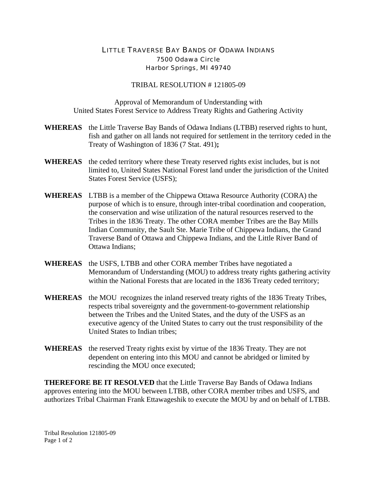## LITTLE TRAVERSE BAY BANDS OF ODAWA INDIANS 7500 Odawa Circle Harbor Springs, MI 49740

## TRIBAL RESOLUTION # 121805-09

Approval of Memorandum of Understanding with United States Forest Service to Address Treaty Rights and Gathering Activity

- **WHEREAS** the Little Traverse Bay Bands of Odawa Indians (LTBB) reserved rights to hunt, fish and gather on all lands not required for settlement in the territory ceded in the Treaty of Washington of 1836 (7 Stat. 491)**;**
- **WHEREAS** the ceded territory where these Treaty reserved rights exist includes, but is not limited to, United States National Forest land under the jurisdiction of the United States Forest Service (USFS);
- **WHEREAS** LTBB is a member of the Chippewa Ottawa Resource Authority (CORA) the purpose of which is to ensure, through inter-tribal coordination and cooperation, the conservation and wise utilization of the natural resources reserved to the Tribes in the 1836 Treaty. The other CORA member Tribes are the Bay Mills Indian Community, the Sault Ste. Marie Tribe of Chippewa Indians, the Grand Traverse Band of Ottawa and Chippewa Indians, and the Little River Band of Ottawa Indians;
- **WHEREAS** the USFS, LTBB and other CORA member Tribes have negotiated a Memorandum of Understanding (MOU) to address treaty rights gathering activity within the National Forests that are located in the 1836 Treaty ceded territory;
- **WHEREAS** the MOU recognizes the inland reserved treaty rights of the 1836 Treaty Tribes, respects tribal sovereignty and the government-to-government relationship between the Tribes and the United States, and the duty of the USFS as an executive agency of the United States to carry out the trust responsibility of the United States to Indian tribes;
- **WHEREAS** the reserved Treaty rights exist by virtue of the 1836 Treaty. They are not dependent on entering into this MOU and cannot be abridged or limited by rescinding the MOU once executed;

**THEREFORE BE IT RESOLVED** that the Little Traverse Bay Bands of Odawa Indians approves entering into the MOU between LTBB, other CORA member tribes and USFS, and authorizes Tribal Chairman Frank Ettawageshik to execute the MOU by and on behalf of LTBB.